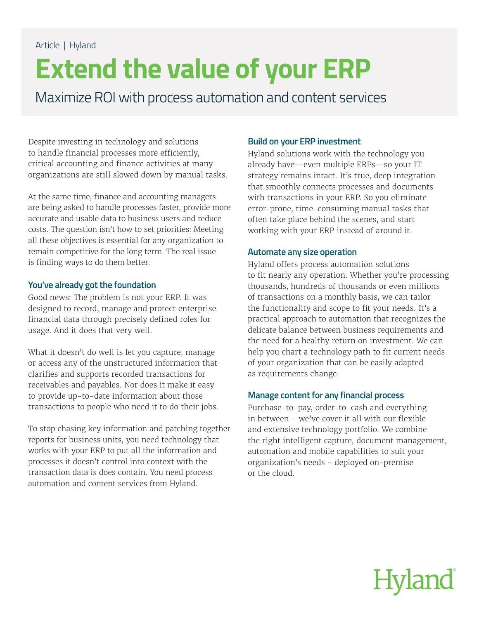### Article | Hyland

## **Extend the value of your ERP**

Maximize ROI with process automation and content services

Despite investing in technology and solutions to handle financial processes more efficiently, critical accounting and finance activities at many organizations are still slowed down by manual tasks.

At the same time, finance and accounting managers are being asked to handle processes faster, provide more accurate and usable data to business users and reduce costs. The question isn't how to set priorities: Meeting all these objectives is essential for any organization to remain competitive for the long term. The real issue is finding ways to do them better.

### **You've already got the foundation**

Good news: The problem is not your ERP. It was designed to record, manage and protect enterprise financial data through precisely defined roles for usage. And it does that very well.

What it doesn't do well is let you capture, manage or access any of the unstructured information that clarifies and supports recorded transactions for receivables and payables. Nor does it make it easy to provide up-to-date information about those transactions to people who need it to do their jobs.

To stop chasing key information and patching together reports for business units, you need technology that works with your ERP to put all the information and processes it doesn't control into context with the transaction data is does contain. You need process automation and content services from Hyland.

### **Build on your ERP investment**

Hyland solutions work with the technology you already have—even multiple ERPs—so your IT strategy remains intact. It's true, deep integration that smoothly connects processes and documents with transactions in your ERP. So you eliminate error-prone, time-consuming manual tasks that often take place behind the scenes, and start working with your ERP instead of around it.

### **Automate any size operation**

Hyland offers process automation solutions to fit nearly any operation. Whether you're processing thousands, hundreds of thousands or even millions of transactions on a monthly basis, we can tailor the functionality and scope to fit your needs. It's a practical approach to automation that recognizes the delicate balance between business requirements and the need for a healthy return on investment. We can help you chart a technology path to fit current needs of your organization that can be easily adapted as requirements change.

### **Manage content for any financial process**

Purchase-to-pay, order-to-cash and everything in between - we've cover it all with our flexible and extensive technology portfolio. We combine the right intelligent capture, document management, automation and mobile capabilities to suit your organization's needs - deployed on-premise or the cloud.

# **Hyland**